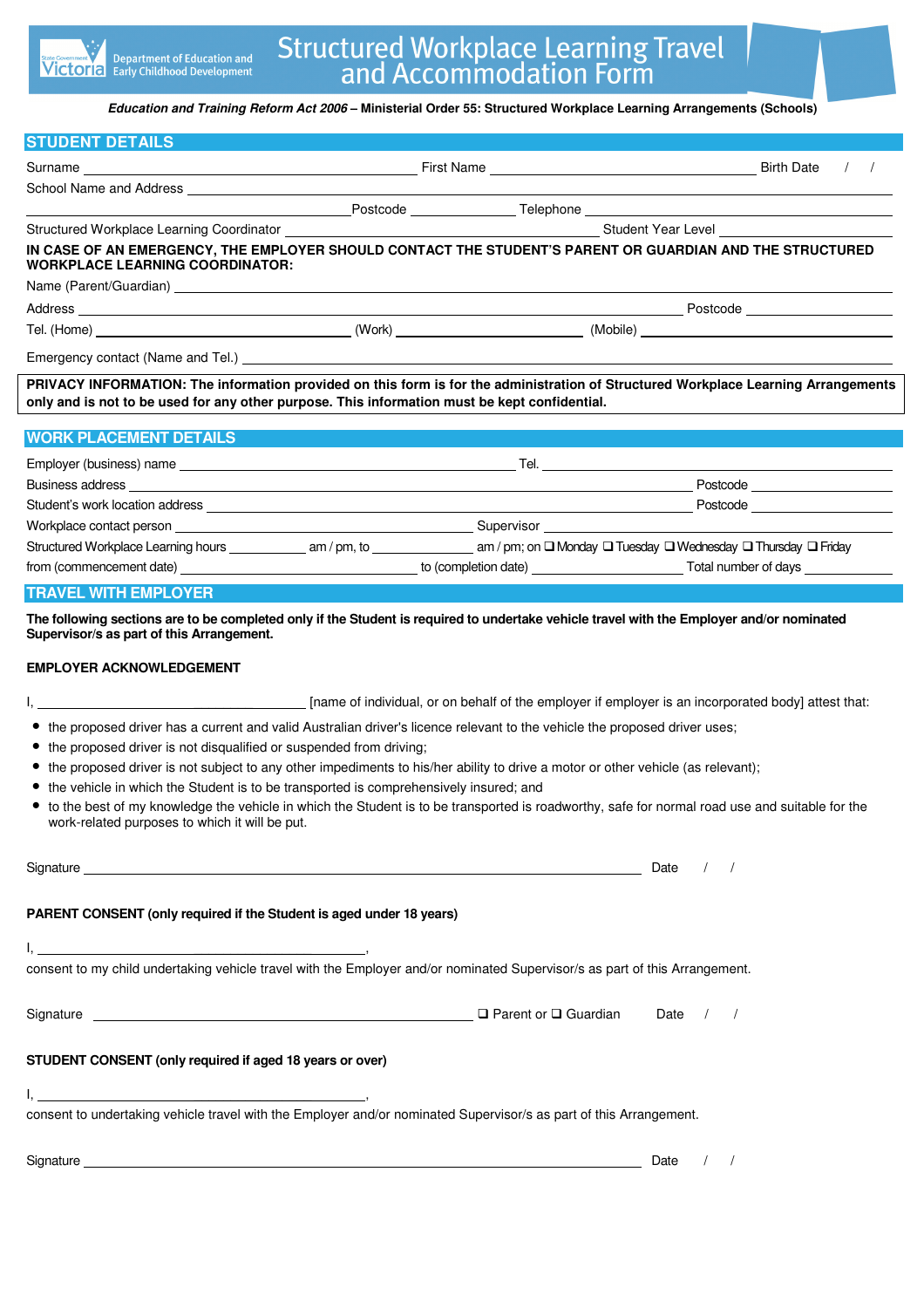| <b>State Government</b> |
|-------------------------|
|                         |

**Education and Training Reform Act 2006 – Ministerial Order 55: Structured Workplace Learning Arrangements (Schools)**

## **STUDENT DETAILS**  Surname Birth Date / / School Name and Address Postcode Telephone Structured Workplace Learning Coordinator \_\_\_\_\_\_\_\_ **IN CASE OF AN EMERGENCY, THE EMPLOYER SHOULD CONTACT THE STUDENT'S PARENT OR GUARDIAN AND THE STRUCTURED WORKPLACE LEARNING COORDINATOR:**  Name (Parent/Guardian) Address Postcode Tel. (Home) (Work) (Work) (Work) (Work) (Work) (Mobile) (Mobile) Emergency contact (Name and Tel.) \_\_\_\_

**PRIVACY INFORMATION: The information provided on this form is for the administration of Structured Workplace Learning Arrangements only and is not to be used for any other purpose. This information must be kept confidential.** 

| <b>WORK PLACEMENT DETAILS</b>                                                                                                                                                                                                        |            |                                                                                                                      |
|--------------------------------------------------------------------------------------------------------------------------------------------------------------------------------------------------------------------------------------|------------|----------------------------------------------------------------------------------------------------------------------|
| Employer (business) name                                                                                                                                                                                                             |            |                                                                                                                      |
|                                                                                                                                                                                                                                      |            | Postcode <b>Exercía de Senso de Senso de Senso de Senso de Senso de Senso de Senso de Senso de Senso de Senso de</b> |
| Student's work location address _                                                                                                                                                                                                    |            | Postcode <u>____________________</u>                                                                                 |
| Workplace contact person                                                                                                                                                                                                             | Supervisor |                                                                                                                      |
|                                                                                                                                                                                                                                      |            | am / pm; on $\square$ Monday $\square$ Tuesday $\square$ Wednesday $\square$ Thursday $\square$ Friday               |
| from (commencement date) <u>example and the set of the set of the set of the set of the set of the set of the set of the set of the set of the set of the set of the set of the set of the set of the set of the set of the set </u> |            | to (completion date) Total number of days                                                                            |
|                                                                                                                                                                                                                                      |            |                                                                                                                      |

**TRAVEL WITH EMPLOYER** 

**The following sections are to be completed only if the Student is required to undertake vehicle travel with the Employer and/or nominated Supervisor/s as part of this Arrangement.** 

## **EMPLOYER ACKNOWLEDGEMENT**

| [name of individual, or on behalf of the employer if employer is an incorporated body] attest that:                                                                                                                                                                                         |  |  |  |  |  |
|---------------------------------------------------------------------------------------------------------------------------------------------------------------------------------------------------------------------------------------------------------------------------------------------|--|--|--|--|--|
| • the proposed driver has a current and valid Australian driver's licence relevant to the vehicle the proposed driver uses;<br>• the proposed driver is not disqualified or suspended from driving;                                                                                         |  |  |  |  |  |
| • the proposed driver is not subject to any other impediments to his/her ability to drive a motor or other vehicle (as relevant);                                                                                                                                                           |  |  |  |  |  |
| • the vehicle in which the Student is to be transported is comprehensively insured; and<br>to the best of my knowledge the vehicle in which the Student is to be transported is roadworthy, safe for normal road use and suitable for the<br>work-related purposes to which it will be put. |  |  |  |  |  |
| Date                                                                                                                                                                                                                                                                                        |  |  |  |  |  |
| PARENT CONSENT (only required if the Student is aged under 18 years)                                                                                                                                                                                                                        |  |  |  |  |  |
| consent to my child undertaking vehicle travel with the Employer and/or nominated Supervisor/s as part of this Arrangement.                                                                                                                                                                 |  |  |  |  |  |
| Signature Contract of District Authority of District Authority Contract Of District Authority Contract Of District Authority Contract Authority Contract Authority Contract Authority Contract Authority Contract Authority Co<br>Date                                                      |  |  |  |  |  |
| STUDENT CONSENT (only required if aged 18 years or over)                                                                                                                                                                                                                                    |  |  |  |  |  |
| <u> 1989 - Johann Barbara, martin de la componenta</u><br>consent to undertaking vehicle travel with the Employer and/or nominated Supervisor/s as part of this Arrangement.                                                                                                                |  |  |  |  |  |
| Signature that the contract of the contract of the contract of the contract of the contract of the contract of the contract of the contract of the contract of the contract of the contract of the contract of the contract of<br>Date                                                      |  |  |  |  |  |